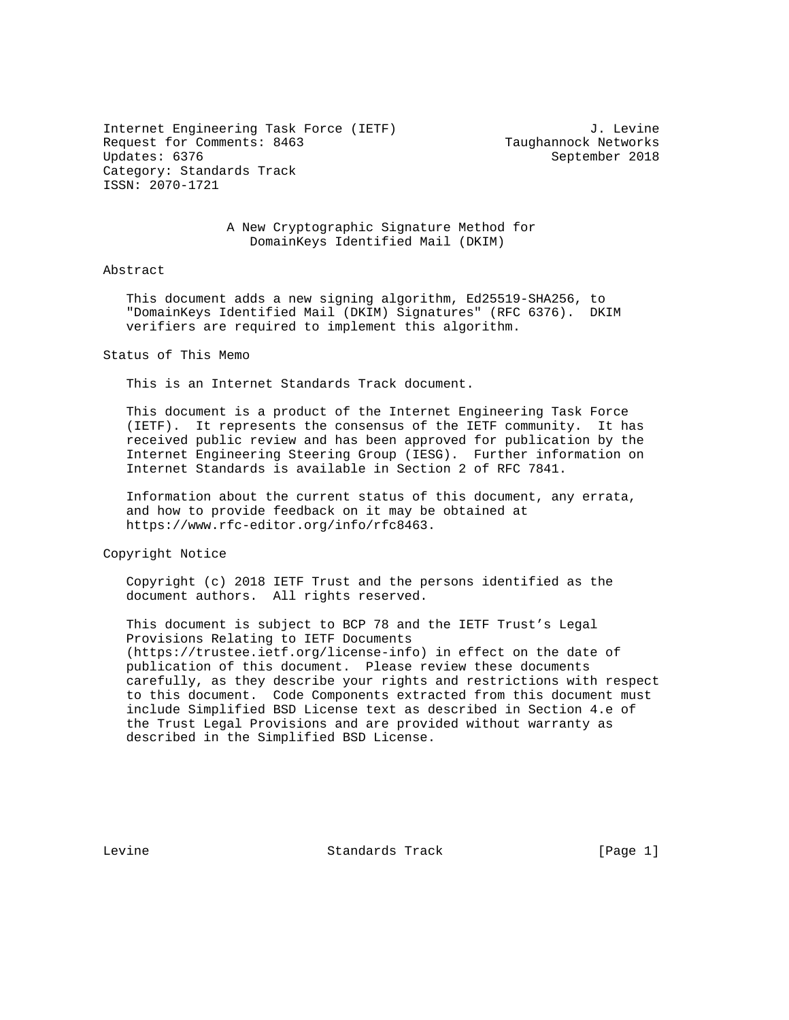Internet Engineering Task Force (IETF) 3. Levine Request for Comments: 8463 Taughannock Networks<br>Updates: 6376 September 2018 Category: Standards Track ISSN: 2070-1721

September 2018

 A New Cryptographic Signature Method for DomainKeys Identified Mail (DKIM)

## Abstract

 This document adds a new signing algorithm, Ed25519-SHA256, to "DomainKeys Identified Mail (DKIM) Signatures" (RFC 6376). DKIM verifiers are required to implement this algorithm.

Status of This Memo

This is an Internet Standards Track document.

 This document is a product of the Internet Engineering Task Force (IETF). It represents the consensus of the IETF community. It has received public review and has been approved for publication by the Internet Engineering Steering Group (IESG). Further information on Internet Standards is available in Section 2 of RFC 7841.

 Information about the current status of this document, any errata, and how to provide feedback on it may be obtained at https://www.rfc-editor.org/info/rfc8463.

Copyright Notice

 Copyright (c) 2018 IETF Trust and the persons identified as the document authors. All rights reserved.

 This document is subject to BCP 78 and the IETF Trust's Legal Provisions Relating to IETF Documents (https://trustee.ietf.org/license-info) in effect on the date of publication of this document. Please review these documents carefully, as they describe your rights and restrictions with respect to this document. Code Components extracted from this document must include Simplified BSD License text as described in Section 4.e of the Trust Legal Provisions and are provided without warranty as described in the Simplified BSD License.

Levine **Standards Track** [Page 1]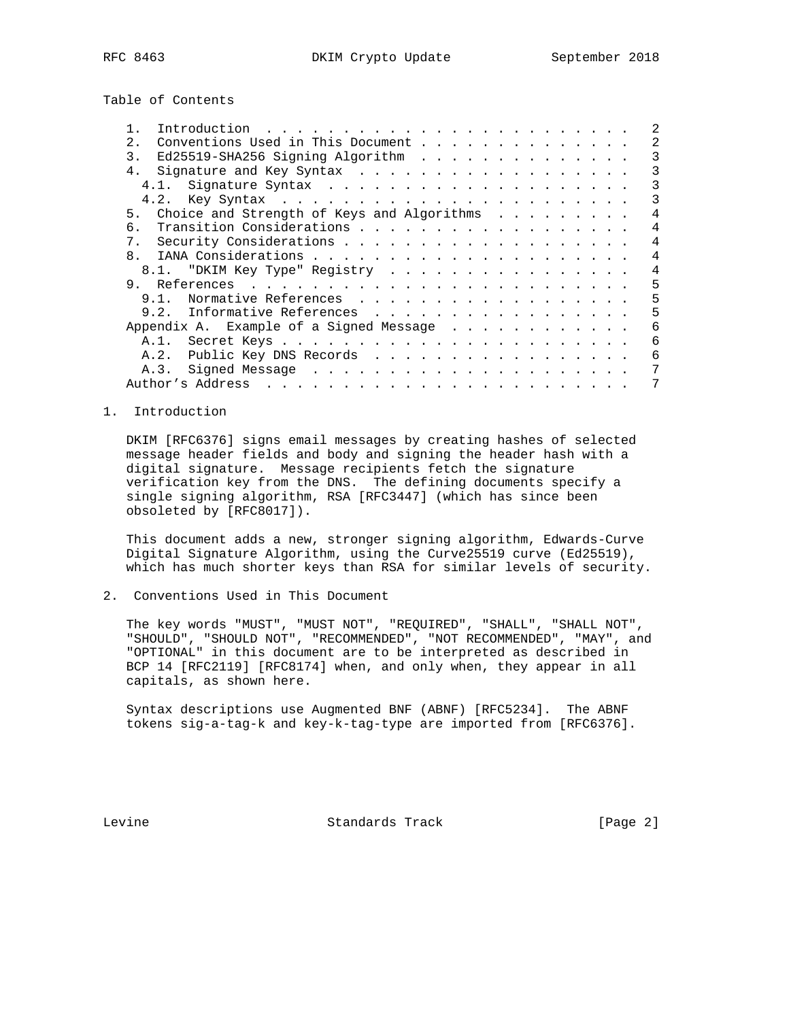Table of Contents

| 2.             | Conventions Used in This Document          |                        |  |  |  |  |  |  |  |  | 2 |
|----------------|--------------------------------------------|------------------------|--|--|--|--|--|--|--|--|---|
| 3.             | Ed25519-SHA256 Signing Algorithm           |                        |  |  |  |  |  |  |  |  |   |
| 4.             |                                            |                        |  |  |  |  |  |  |  |  | 3 |
|                |                                            |                        |  |  |  |  |  |  |  |  | 3 |
|                |                                            |                        |  |  |  |  |  |  |  |  | 3 |
| 5.             | Choice and Strength of Keys and Algorithms |                        |  |  |  |  |  |  |  |  | 4 |
| б.             |                                            |                        |  |  |  |  |  |  |  |  |   |
| 7.             |                                            |                        |  |  |  |  |  |  |  |  |   |
| 8 <sub>1</sub> |                                            |                        |  |  |  |  |  |  |  |  | 4 |
|                | 8.1. "DKIM Key Type" Registry              |                        |  |  |  |  |  |  |  |  | 4 |
| 9.             |                                            |                        |  |  |  |  |  |  |  |  | 5 |
|                | 9 1                                        | Normative References   |  |  |  |  |  |  |  |  | 5 |
|                | 9.2.                                       | Informative References |  |  |  |  |  |  |  |  | 5 |
|                | Appendix A. Example of a Signed Message    |                        |  |  |  |  |  |  |  |  | 6 |
|                |                                            |                        |  |  |  |  |  |  |  |  | 6 |
|                | A.2.                                       | Public Key DNS Records |  |  |  |  |  |  |  |  | 6 |
|                | A.3.                                       |                        |  |  |  |  |  |  |  |  |   |
|                |                                            |                        |  |  |  |  |  |  |  |  |   |

#### 1. Introduction

 DKIM [RFC6376] signs email messages by creating hashes of selected message header fields and body and signing the header hash with a digital signature. Message recipients fetch the signature verification key from the DNS. The defining documents specify a single signing algorithm, RSA [RFC3447] (which has since been obsoleted by [RFC8017]).

 This document adds a new, stronger signing algorithm, Edwards-Curve Digital Signature Algorithm, using the Curve25519 curve (Ed25519), which has much shorter keys than RSA for similar levels of security.

2. Conventions Used in This Document

 The key words "MUST", "MUST NOT", "REQUIRED", "SHALL", "SHALL NOT", "SHOULD", "SHOULD NOT", "RECOMMENDED", "NOT RECOMMENDED", "MAY", and "OPTIONAL" in this document are to be interpreted as described in BCP 14 [RFC2119] [RFC8174] when, and only when, they appear in all capitals, as shown here.

 Syntax descriptions use Augmented BNF (ABNF) [RFC5234]. The ABNF tokens sig-a-tag-k and key-k-tag-type are imported from [RFC6376].

Levine **Standards Track** [Page 2]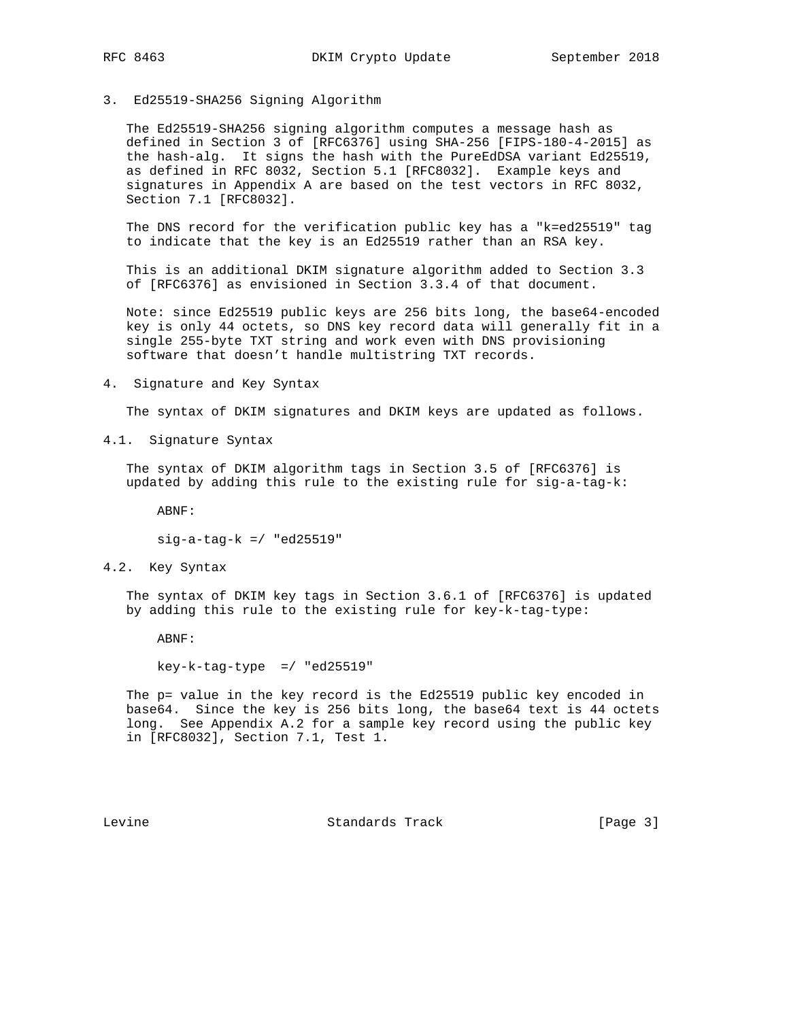#### 3. Ed25519-SHA256 Signing Algorithm

 The Ed25519-SHA256 signing algorithm computes a message hash as defined in Section 3 of [RFC6376] using SHA-256 [FIPS-180-4-2015] as the hash-alg. It signs the hash with the PureEdDSA variant Ed25519, as defined in RFC 8032, Section 5.1 [RFC8032]. Example keys and signatures in Appendix A are based on the test vectors in RFC 8032, Section 7.1 [RFC8032].

 The DNS record for the verification public key has a "k=ed25519" tag to indicate that the key is an Ed25519 rather than an RSA key.

 This is an additional DKIM signature algorithm added to Section 3.3 of [RFC6376] as envisioned in Section 3.3.4 of that document.

 Note: since Ed25519 public keys are 256 bits long, the base64-encoded key is only 44 octets, so DNS key record data will generally fit in a single 255-byte TXT string and work even with DNS provisioning software that doesn't handle multistring TXT records.

4. Signature and Key Syntax

The syntax of DKIM signatures and DKIM keys are updated as follows.

4.1. Signature Syntax

 The syntax of DKIM algorithm tags in Section 3.5 of [RFC6376] is updated by adding this rule to the existing rule for sig-a-tag-k:

ABNF:

sig-a-tag-k =/ "ed25519"

4.2. Key Syntax

 The syntax of DKIM key tags in Section 3.6.1 of [RFC6376] is updated by adding this rule to the existing rule for key-k-tag-type:

ABNF:

key-k-tag-type =/ "ed25519"

 The p= value in the key record is the Ed25519 public key encoded in base64. Since the key is 256 bits long, the base64 text is 44 octets long. See Appendix A.2 for a sample key record using the public key in [RFC8032], Section 7.1, Test 1.

Levine **Standards Track** [Page 3]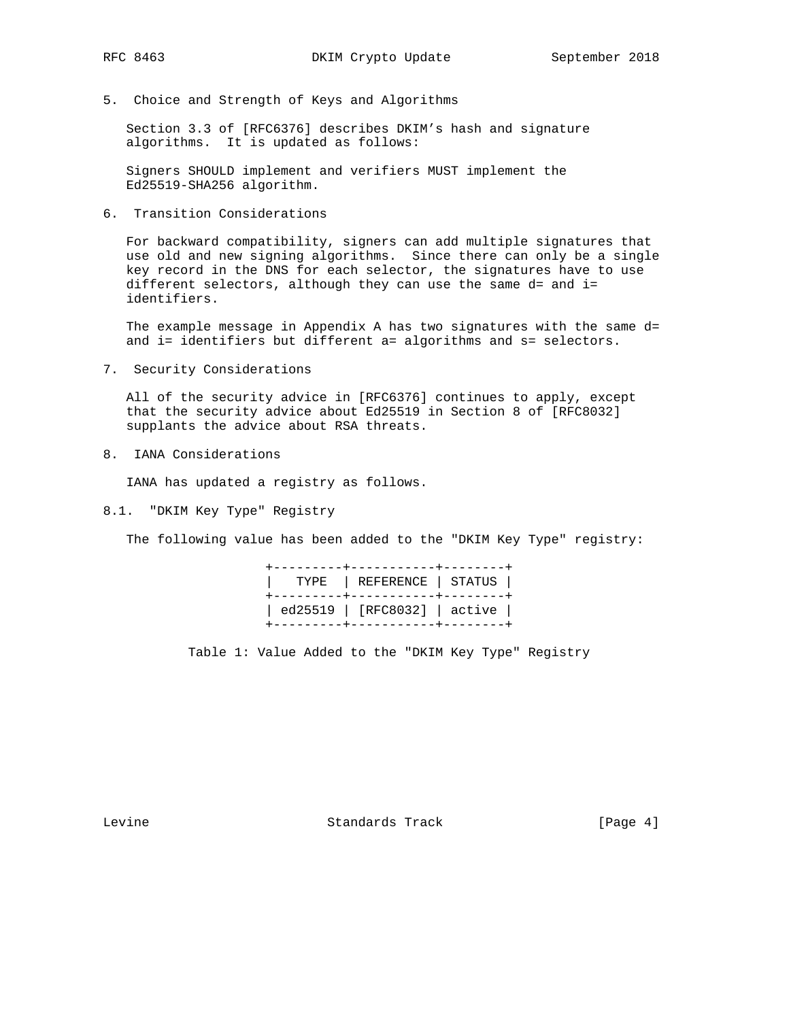5. Choice and Strength of Keys and Algorithms

 Section 3.3 of [RFC6376] describes DKIM's hash and signature algorithms. It is updated as follows:

 Signers SHOULD implement and verifiers MUST implement the Ed25519-SHA256 algorithm.

6. Transition Considerations

 For backward compatibility, signers can add multiple signatures that use old and new signing algorithms. Since there can only be a single key record in the DNS for each selector, the signatures have to use different selectors, although they can use the same d= and i= identifiers.

 The example message in Appendix A has two signatures with the same d= and i= identifiers but different a= algorithms and s= selectors.

7. Security Considerations

 All of the security advice in [RFC6376] continues to apply, except that the security advice about Ed25519 in Section 8 of [RFC8032] supplants the advice about RSA threats.

8. IANA Considerations

IANA has updated a registry as follows.

8.1. "DKIM Key Type" Registry

The following value has been added to the "DKIM Key Type" registry:

|  | -----------+--------<br>TYPE   REFERENCE   STATUS  <br>+---------+-----------+-------- |  |
|--|----------------------------------------------------------------------------------------|--|
|  | ed25519   [RFC8032]   active  <br>---------------------------                          |  |

Table 1: Value Added to the "DKIM Key Type" Registry

Levine **Standards Track** [Page 4]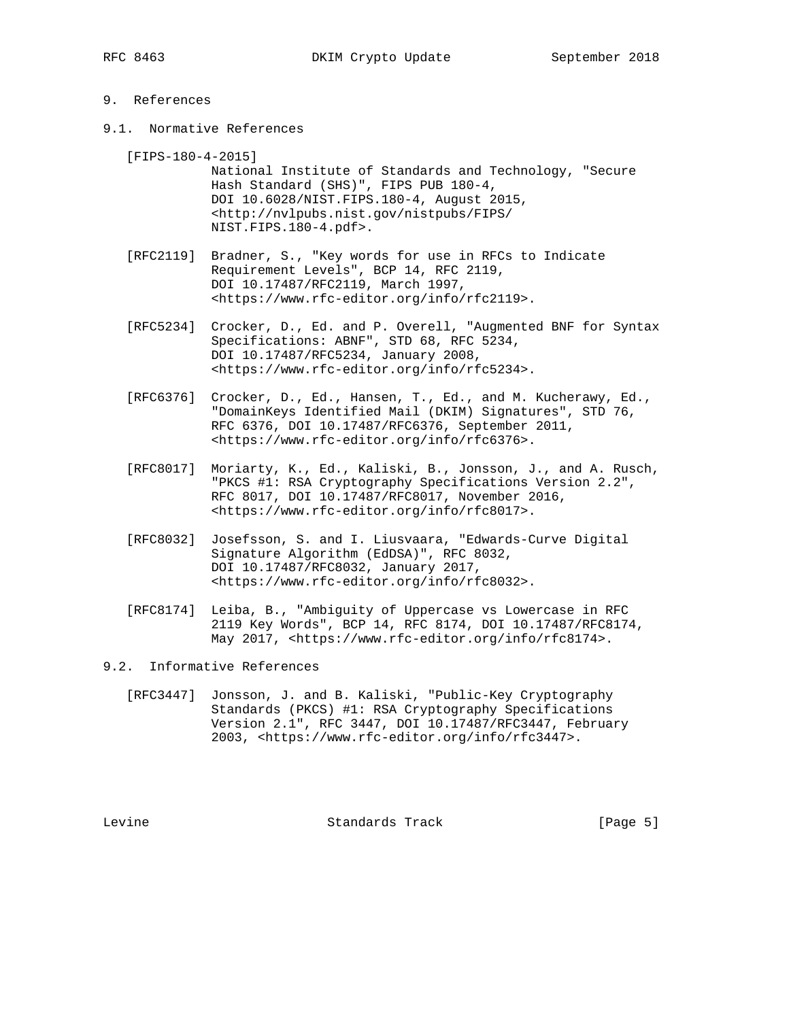# 9. References

- 9.1. Normative References
	- [FIPS-180-4-2015]

 National Institute of Standards and Technology, "Secure Hash Standard (SHS)", FIPS PUB 180-4, DOI 10.6028/NIST.FIPS.180-4, August 2015, <http://nvlpubs.nist.gov/nistpubs/FIPS/ NIST.FIPS.180-4.pdf>.

- [RFC2119] Bradner, S., "Key words for use in RFCs to Indicate Requirement Levels", BCP 14, RFC 2119, DOI 10.17487/RFC2119, March 1997, <https://www.rfc-editor.org/info/rfc2119>.
- [RFC5234] Crocker, D., Ed. and P. Overell, "Augmented BNF for Syntax Specifications: ABNF", STD 68, RFC 5234, DOI 10.17487/RFC5234, January 2008, <https://www.rfc-editor.org/info/rfc5234>.
- [RFC6376] Crocker, D., Ed., Hansen, T., Ed., and M. Kucherawy, Ed., "DomainKeys Identified Mail (DKIM) Signatures", STD 76, RFC 6376, DOI 10.17487/RFC6376, September 2011, <https://www.rfc-editor.org/info/rfc6376>.
- [RFC8017] Moriarty, K., Ed., Kaliski, B., Jonsson, J., and A. Rusch, "PKCS #1: RSA Cryptography Specifications Version 2.2", RFC 8017, DOI 10.17487/RFC8017, November 2016, <https://www.rfc-editor.org/info/rfc8017>.
- [RFC8032] Josefsson, S. and I. Liusvaara, "Edwards-Curve Digital Signature Algorithm (EdDSA)", RFC 8032, DOI 10.17487/RFC8032, January 2017, <https://www.rfc-editor.org/info/rfc8032>.
- [RFC8174] Leiba, B., "Ambiguity of Uppercase vs Lowercase in RFC 2119 Key Words", BCP 14, RFC 8174, DOI 10.17487/RFC8174, May 2017, <https://www.rfc-editor.org/info/rfc8174>.
- 9.2. Informative References
	- [RFC3447] Jonsson, J. and B. Kaliski, "Public-Key Cryptography Standards (PKCS) #1: RSA Cryptography Specifications Version 2.1", RFC 3447, DOI 10.17487/RFC3447, February 2003, <https://www.rfc-editor.org/info/rfc3447>.

Levine **Standards Track** [Page 5]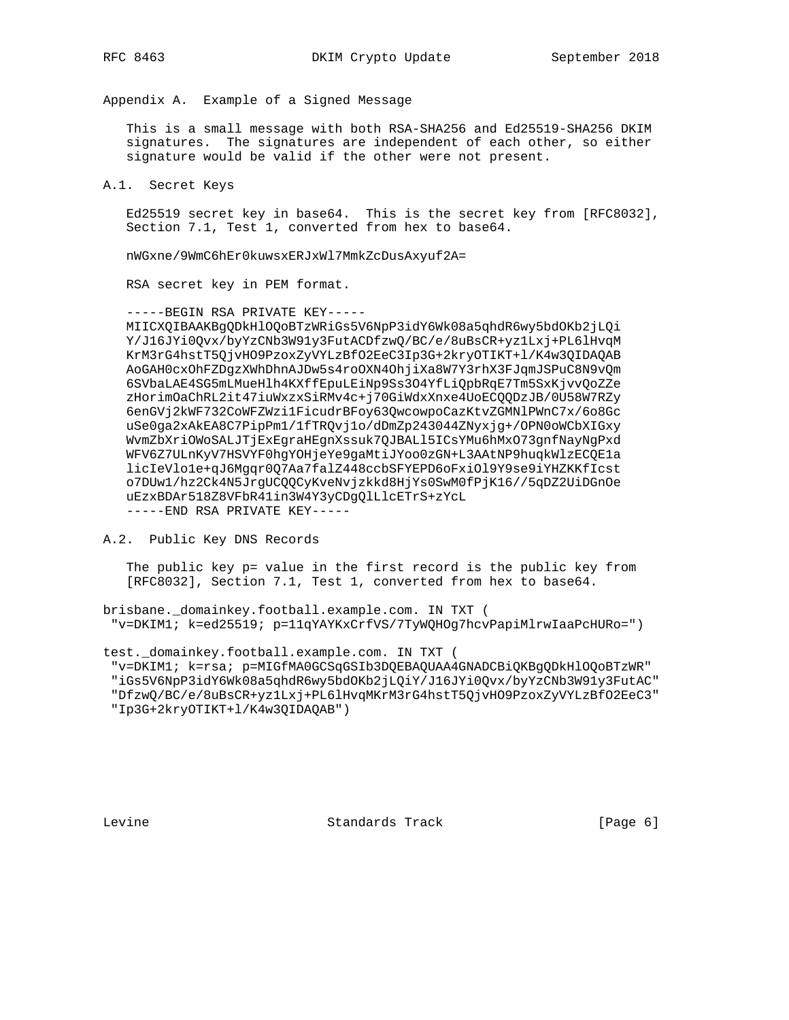Appendix A. Example of a Signed Message

 This is a small message with both RSA-SHA256 and Ed25519-SHA256 DKIM signatures. The signatures are independent of each other, so either signature would be valid if the other were not present.

A.1. Secret Keys

 Ed25519 secret key in base64. This is the secret key from [RFC8032], Section 7.1, Test 1, converted from hex to base64.

nWGxne/9WmC6hEr0kuwsxERJxWl7MmkZcDusAxyuf2A=

RSA secret key in PEM format.

 -----BEGIN RSA PRIVATE KEY----- MIICXQIBAAKBgQDkHlOQoBTzWRiGs5V6NpP3idY6Wk08a5qhdR6wy5bdOKb2jLQi Y/J16JYi0Qvx/byYzCNb3W91y3FutACDfzwQ/BC/e/8uBsCR+yz1Lxj+PL6lHvqM KrM3rG4hstT5QjvHO9PzoxZyVYLzBfO2EeC3Ip3G+2kryOTIKT+l/K4w3QIDAQAB AoGAH0cxOhFZDgzXWhDhnAJDw5s4roOXN4OhjiXa8W7Y3rhX3FJqmJSPuC8N9vQm 6SVbaLAE4SG5mLMueHlh4KXffEpuLEiNp9Ss3O4YfLiQpbRqE7Tm5SxKjvvQoZZe zHorimOaChRL2it47iuWxzxSiRMv4c+j70GiWdxXnxe4UoECQQDzJB/0U58W7RZy 6enGVj2kWF732CoWFZWzi1FicudrBFoy63QwcowpoCazKtvZGMNlPWnC7x/6o8Gc uSe0ga2xAkEA8C7PipPm1/1fTRQvj1o/dDmZp243044ZNyxjg+/OPN0oWCbXIGxy WvmZbXriOWoSALJTjExEgraHEgnXssuk7QJBALl5ICsYMu6hMxO73gnfNayNgPxd WFV6Z7ULnKyV7HSVYF0hgYOHjeYe9gaMtiJYoo0zGN+L3AAtNP9huqkWlzECQE1a licIeVlo1e+qJ6Mgqr0Q7Aa7falZ448ccbSFYEPD6oFxiOl9Y9se9iYHZKKfIcst o7DUw1/hz2Ck4N5JrgUCQQCyKveNvjzkkd8HjYs0SwM0fPjK16//5qDZ2UiDGnOe uEzxBDAr518Z8VFbR41in3W4Y3yCDgQlLlcETrS+zYcL -----END RSA PRIVATE KEY-----

A.2. Public Key DNS Records

 The public key p= value in the first record is the public key from [RFC8032], Section 7.1, Test 1, converted from hex to base64.

brisbane.\_domainkey.football.example.com. IN TXT ( "v=DKIM1; k=ed25519; p=11qYAYKxCrfVS/7TyWQHOg7hcvPapiMlrwIaaPcHURo=")

test. domainkey.football.example.com. IN TXT (

 "v=DKIM1; k=rsa; p=MIGfMA0GCSqGSIb3DQEBAQUAA4GNADCBiQKBgQDkHlOQoBTzWR" "iGs5V6NpP3idY6Wk08a5qhdR6wy5bdOKb2jLQiY/J16JYi0Qvx/byYzCNb3W91y3FutAC"

 "DfzwQ/BC/e/8uBsCR+yz1Lxj+PL6lHvqMKrM3rG4hstT5QjvHO9PzoxZyVYLzBfO2EeC3" "Ip3G+2kryOTIKT+l/K4w3QIDAQAB")

Levine **Standards Track** [Page 6]